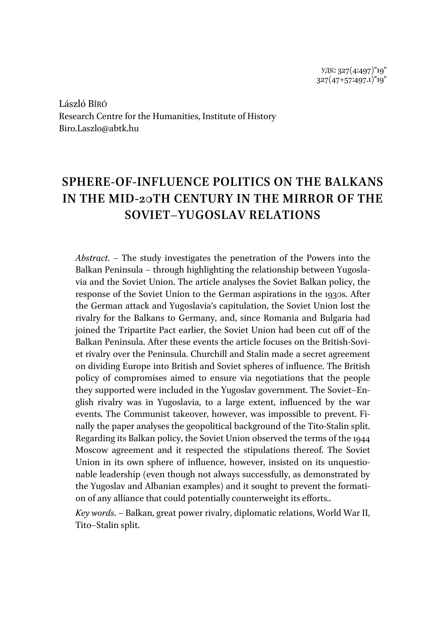László BÍRÓ Research Centre for the Humanities, Institute of History Biro.Laszlo@abtk.hu

# **SPHERE-OF-INFLUENCE POLITICS ON THE BALKANS IN THE MID-20TH CENTURY IN THE MIRROR OF THE SOVIET–YUGOSLAV RELATIONS**

*Abstract*. – The study investigates the penetration of the Powers into the Balkan Peninsula – through highlighting the relationship between Yugoslavia and the Soviet Union. The article analyses the Soviet Balkan policy, the response of the Soviet Union to the German aspirations in the 1930s. After the German attack and Yugoslavia's capitulation, the Soviet Union lost the rivalry for the Balkans to Germany, and, since Romania and Bulgaria had joined the Tripartite Pact earlier, the Soviet Union had been cut off of the Balkan Peninsula. After these events the article focuses on the British-Soviet rivalry over the Peninsula. Churchill and Stalin made a secret agreement on dividing Europe into British and Soviet spheres of influence. The British policy of compromises aimed to ensure via negotiations that the people they supported were included in the Yugoslav government. The Soviet–English rivalry was in Yugoslavia, to a large extent, influenced by the war events. The Communist takeover, however, was impossible to prevent. Finally the paper analyses the geopolitical background of the Tito-Stalin split. Regarding its Balkan policy, the Soviet Union observed the terms of the 1944 Moscow agreement and it respected the stipulations thereof. The Soviet Union in its own sphere of influence, however, insisted on its unquestionable leadership (even though not always successfully, as demonstrated by the Yugoslav and Albanian examples) and it sought to prevent the formation of any alliance that could potentially counterweight its efforts..

*Key words*. – Balkan, great power rivalry, diplomatic relations, World War II, Tito–Stalin split.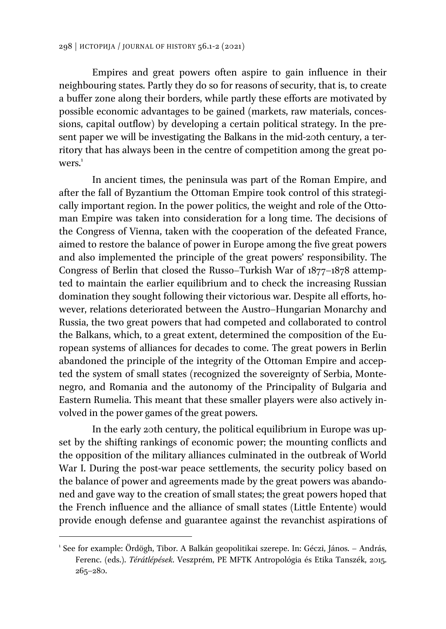Empires and great powers often aspire to gain influence in their neighbouring states. Partly they do so for reasons of security, that is, to create a buffer zone along their borders, while partly these efforts are motivated by possible economic advantages to be gained (markets, raw materials, concessions, capital outflow) by developing a certain political strategy. In the present paper we will be investigating the Balkans in the mid-20th century, a territory that has always been in the centre of competition among the great po $were.<sup>1</sup>$ 

In ancient times, the peninsula was part of the Roman Empire, and after the fall of Byzantium the Ottoman Empire took control of this strategically important region. In the power politics, the weight and role of the Ottoman Empire was taken into consideration for a long time. The decisions of the Congress of Vienna, taken with the cooperation of the defeated France, aimed to restore the balance of power in Europe among the five great powers and also implemented the principle of the great powers' responsibility. The Congress of Berlin that closed the Russo–Turkish War of 1877–1878 attempted to maintain the earlier equilibrium and to check the increasing Russian domination they sought following their victorious war. Despite all efforts, however, relations deteriorated between the Austro–Hungarian Monarchy and Russia, the two great powers that had competed and collaborated to control the Balkans, which, to a great extent, determined the composition of the European systems of alliances for decades to come. The great powers in Berlin abandoned the principle of the integrity of the Ottoman Empire and accepted the system of small states (recognized the sovereignty of Serbia, Montenegro, and Romania and the autonomy of the Principality of Bulgaria and Eastern Rumelia. This meant that these smaller players were also actively involved in the power games of the great powers.

In the early 20th century, the political equilibrium in Europe was upset by the shifting rankings of economic power; the mounting conflicts and the opposition of the military alliances culminated in the outbreak of World War I. During the post-war peace settlements, the security policy based on the balance of power and agreements made by the great powers was abandoned and gave way to the creation of small states; the great powers hoped that the French influence and the alliance of small states (Little Entente) would provide enough defense and guarantee against the revanchist aspirations of

<sup>1</sup> See for example: Ördögh, Tibor. A Balkán geopolitikai szerepe. In: Géczi, János. – András, Ferenc. (eds.). *Térátlépések*. Veszprém, PE MFTK Antropológia és Etika Tanszék, 2015. 265–280.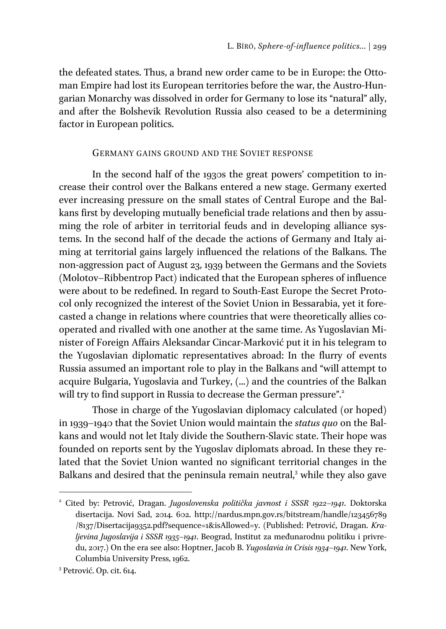the defeated states. Thus, a brand new order came to be in Europe: the Ottoman Empire had lost its European territories before the war, the Austro-Hungarian Monarchy was dissolved in order for Germany to lose its "natural" ally, and after the Bolshevik Revolution Russia also ceased to be a determining factor in European politics.

## GERMANY GAINS GROUND AND THE SOVIET RESPONSE

In the second half of the 1930s the great powers' competition to increase their control over the Balkans entered a new stage. Germany exerted ever increasing pressure on the small states of Central Europe and the Balkans first by developing mutually beneficial trade relations and then by assuming the role of arbiter in territorial feuds and in developing alliance systems. In the second half of the decade the actions of Germany and Italy aiming at territorial gains largely influenced the relations of the Balkans. The non-aggression pact of August 23, 1939 between the Germans and the Soviets (Molotov–Ribbentrop Pact) indicated that the European spheres of influence were about to be redefined. In regard to South-East Europe the Secret Protocol only recognized the interest of the Soviet Union in Bessarabia, yet it forecasted a change in relations where countries that were theoretically allies cooperated and rivalled with one another at the same time. As Yugoslavian Minister of Foreign Affairs Aleksandar Cincar-Marković put it in his telegram to the Yugoslavian diplomatic representatives abroad: In the flurry of events Russia assumed an important role to play in the Balkans and "will attempt to acquire Bulgaria, Yugoslavia and Turkey, (...) and the countries of the Balkan will try to find support in Russia to decrease the German pressure".<sup>2</sup>

Those in charge of the Yugoslavian diplomacy calculated (or hoped) in 1939–1940 that the Soviet Union would maintain the *status quo* on the Balkans and would not let Italy divide the Southern-Slavic state. Their hope was founded on reports sent by the Yugoslav diplomats abroad. In these they related that the Soviet Union wanted no significant territorial changes in the Balkans and desired that the peninsula remain neutral,<sup>3</sup> while they also gave

<sup>2</sup> Cited by: Petrović, Dragan. *Jugoslovenska politička javnost i SSSR 1922–1941*. Doktorska disertacija. Novi Sad, 2014. 602. http://nardus.mpn.gov.rs/bitstream/handle/123456789 /8137/Disertacija9352.pdf?sequence=1&isAllowed=y. (Published: Petrović, Dragan. *Kraljevina Jugoslavija i SSSR 1935–1941*. Beograd, Institut za međunarodnu politiku i privredu, 2017.) On the era see also: Hoptner, Jacob B. *Yugoslavia in Crisis 1934–1941*. New York, Columbia University Press, 1962.

<sup>&</sup>lt;sup>3</sup> Petrović. Op. cit. 614.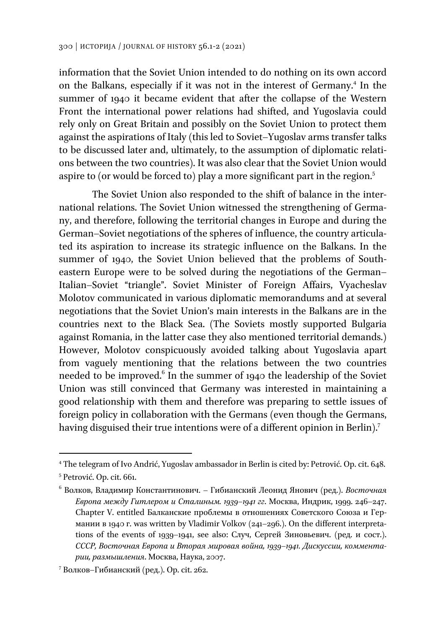information that the Soviet Union intended to do nothing on its own accord on the Balkans, especially if it was not in the interest of Germany.<sup>4</sup> In the summer of 1940 it became evident that after the collapse of the Western Front the international power relations had shifted, and Yugoslavia could rely only on Great Britain and possibly on the Soviet Union to protect them against the aspirations of Italy (this led to Soviet–Yugoslav arms transfer talks to be discussed later and, ultimately, to the assumption of diplomatic relations between the two countries). It was also clear that the Soviet Union would aspire to (or would be forced to) play a more significant part in the region.<sup>5</sup>

The Soviet Union also responded to the shift of balance in the international relations. The Soviet Union witnessed the strengthening of Germany, and therefore, following the territorial changes in Europe and during the German–Soviet negotiations of the spheres of influence, the country articulated its aspiration to increase its strategic influence on the Balkans. In the summer of 1940, the Soviet Union believed that the problems of Southeastern Europe were to be solved during the negotiations of the German– Italian–Soviet "triangle". Soviet Minister of Foreign Affairs, Vyacheslav Molotov communicated in various diplomatic memorandums and at several negotiations that the Soviet Union's main interests in the Balkans are in the countries next to the Black Sea. (The Soviets mostly supported Bulgaria against Romania, in the latter case they also mentioned territorial demands.) However, Molotov conspicuously avoided talking about Yugoslavia apart from vaguely mentioning that the relations between the two countries needed to be improved.<sup>6</sup> In the summer of 1940 the leadership of the Soviet Union was still convinced that Germany was interested in maintaining a good relationship with them and therefore was preparing to settle issues of foreign policy in collaboration with the Germans (even though the Germans, having disguised their true intentions were of a different opinion in Berlin).<sup>7</sup>

<sup>&</sup>lt;sup>4</sup> The telegram of Ivo Andrić, Yugoslav ambassador in Berlin is cited by: Petrović. Op. cit. 648.<br><sup>5</sup> Petrović, Op. cit. 661

<sup>&</sup>lt;sup>5</sup> Petrović. Op. cit. 661.

<sup>6</sup> Волков, Владимир Константинович. – Гибианский Леонид Янович (ред.). *Восточная Европа между Гитлером и Сталиным. 1939–1941 гг*. Москва, Индрик, 1999. 246–247. Chapter V. entitled Балканские проблемы в отношениях Советского Союза и Германии в 1940 г. was written by Vladimir Volkov (241–296.). On the different interpretations of the events of 1939–1941, see also: Случ, Сергей Зиновьевич. (ред. и сост.). *СССР, Восточная Европа и Вторая мировая война, 1939–1941. Дискуссии, комментарии, размышления*. Москва, Наука, 2007.

<sup>7</sup> Волков–Гибианский (ред.). Op. cit. 262.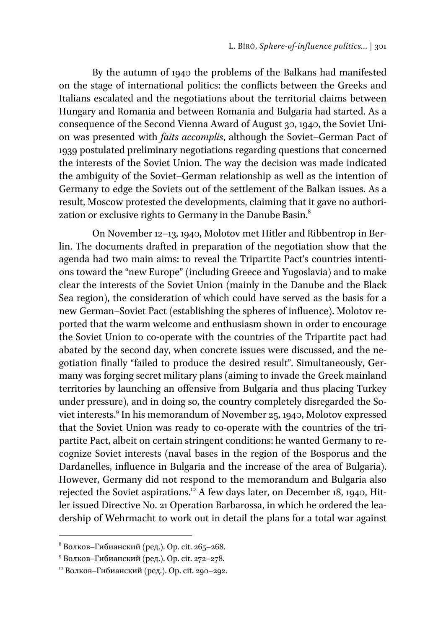By the autumn of 1940 the problems of the Balkans had manifested on the stage of international politics: the conflicts between the Greeks and Italians escalated and the negotiations about the territorial claims between Hungary and Romania and between Romania and Bulgaria had started. As a consequence of the Second Vienna Award of August 30, 1940, the Soviet Union was presented with *faits accomplis*, although the Soviet–German Pact of 1939 postulated preliminary negotiations regarding questions that concerned the interests of the Soviet Union. The way the decision was made indicated the ambiguity of the Soviet–German relationship as well as the intention of Germany to edge the Soviets out of the settlement of the Balkan issues. As a result, Moscow protested the developments, claiming that it gave no authorization or exclusive rights to Germany in the Danube Basin.<sup>8</sup>

On November 12–13, 1940, Molotov met Hitler and Ribbentrop in Berlin. The documents drafted in preparation of the negotiation show that the agenda had two main aims: to reveal the Tripartite Pact's countries intentions toward the "new Europe" (including Greece and Yugoslavia) and to make clear the interests of the Soviet Union (mainly in the Danube and the Black Sea region), the consideration of which could have served as the basis for a new German–Soviet Pact (establishing the spheres of influence). Molotov reported that the warm welcome and enthusiasm shown in order to encourage the Soviet Union to co-operate with the countries of the Tripartite pact had abated by the second day, when concrete issues were discussed, and the negotiation finally "failed to produce the desired result". Simultaneously, Germany was forging secret military plans (aiming to invade the Greek mainland territories by launching an offensive from Bulgaria and thus placing Turkey under pressure), and in doing so, the country completely disregarded the Soviet interests.<sup>9</sup> In his memorandum of November 25, 1940, Molotov expressed that the Soviet Union was ready to co-operate with the countries of the tripartite Pact, albeit on certain stringent conditions: he wanted Germany to recognize Soviet interests (naval bases in the region of the Bosporus and the Dardanelles, influence in Bulgaria and the increase of the area of Bulgaria). However, Germany did not respond to the memorandum and Bulgaria also rejected the Soviet aspirations.<sup>10</sup> A few days later, on December 18, 1940, Hitler issued Directive No. 21 Operation Barbarossa, in which he ordered the leadership of Wehrmacht to work out in detail the plans for a total war against

 $8$  Волков–Гибианский (ред.). Op. cit. 265–268.

<sup>&</sup>lt;sup>9</sup> Волков-Гибианский (ред.). Op. cit. 272-278.

 $10$  Волков–Гибианский (ред.). Op. cit. 290–292.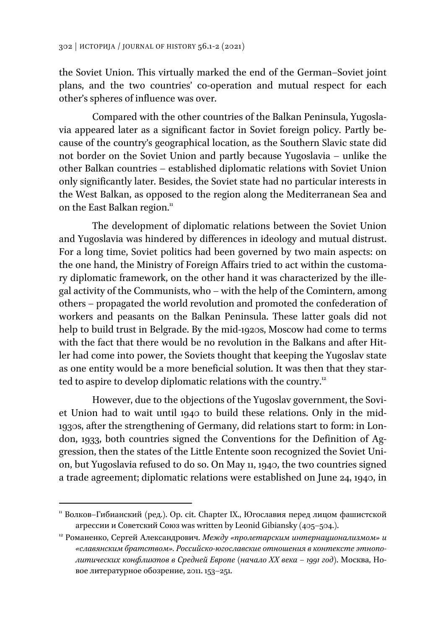the Soviet Union. This virtually marked the end of the German–Soviet joint plans, and the two countries' co-operation and mutual respect for each other's spheres of influence was over.

Compared with the other countries of the Balkan Peninsula, Yugoslavia appeared later as a significant factor in Soviet foreign policy. Partly because of the country's geographical location, as the Southern Slavic state did not border on the Soviet Union and partly because Yugoslavia – unlike the other Balkan countries – established diplomatic relations with Soviet Union only significantly later. Besides, the Soviet state had no particular interests in the West Balkan, as opposed to the region along the Mediterranean Sea and on the East Balkan region.<sup>11</sup>

The development of diplomatic relations between the Soviet Union and Yugoslavia was hindered by differences in ideology and mutual distrust. For a long time, Soviet politics had been governed by two main aspects: on the one hand, the Ministry of Foreign Affairs tried to act within the customary diplomatic framework, on the other hand it was characterized by the illegal activity of the Communists, who – with the help of the Comintern, among others – propagated the world revolution and promoted the confederation of workers and peasants on the Balkan Peninsula. These latter goals did not help to build trust in Belgrade. By the mid-1920s, Moscow had come to terms with the fact that there would be no revolution in the Balkans and after Hitler had come into power, the Soviets thought that keeping the Yugoslav state as one entity would be a more beneficial solution. It was then that they started to aspire to develop diplomatic relations with the country.<sup>12</sup>

However, due to the objections of the Yugoslav government, the Soviet Union had to wait until 1940 to build these relations. Only in the mid-1930s, after the strengthening of Germany, did relations start to form: in London, 1933, both countries signed the Conventions for the Definition of Aggression, then the states of the Little Entente soon recognized the Soviet Union, but Yugoslavia refused to do so. On May 11, 1940, the two countries signed a trade agreement; diplomatic relations were established on June 24, 1940, in

<sup>&</sup>lt;sup>11</sup> Волков–Гибианский (ред.). Op. cit. Chapter IX., Югославия перед лицом фашистской агрессии и Советский Союз was written by Leonid Gibiansky (405–504.). 12 Романенко, Сергей Александрович. *Между «пролетарским интернационализмом» и* 

*<sup>«</sup>славянским братством». Российско-югославские отношения в контексте этнополитических конфликтов в Средней Европе (начало ХХ века – 1991 год)*. Москва, Новое литературное обозрение, 2011. 153–251.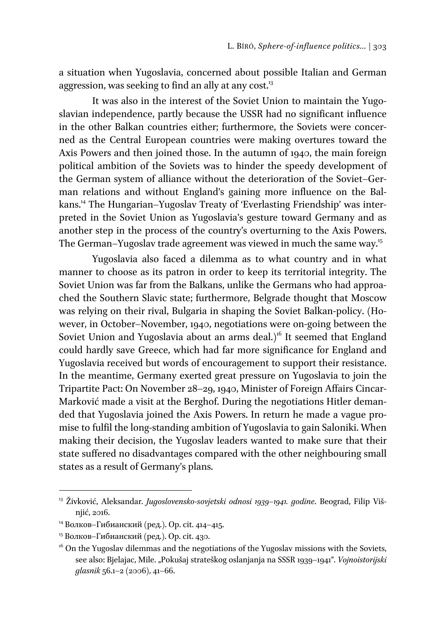a situation when Yugoslavia, concerned about possible Italian and German aggression, was seeking to find an ally at any cost. $13$ 

It was also in the interest of the Soviet Union to maintain the Yugoslavian independence, partly because the USSR had no significant influence in the other Balkan countries either; furthermore, the Soviets were concerned as the Central European countries were making overtures toward the Axis Powers and then joined those. In the autumn of 1940, the main foreign political ambition of the Soviets was to hinder the speedy development of the German system of alliance without the deterioration of the Soviet–German relations and without England's gaining more influence on the Balkans.<sup>14</sup> The Hungarian–Yugoslav Treaty of 'Everlasting Friendship' was interpreted in the Soviet Union as Yugoslavia's gesture toward Germany and as another step in the process of the country's overturning to the Axis Powers. The German–Yugoslav trade agreement was viewed in much the same way.<sup>15</sup>

Yugoslavia also faced a dilemma as to what country and in what manner to choose as its patron in order to keep its territorial integrity. The Soviet Union was far from the Balkans, unlike the Germans who had approached the Southern Slavic state; furthermore, Belgrade thought that Moscow was relying on their rival, Bulgaria in shaping the Soviet Balkan-policy. (However, in October–November, 1940, negotiations were on-going between the Soviet Union and Yugoslavia about an arms deal.)<sup>16</sup> It seemed that England could hardly save Greece, which had far more significance for England and Yugoslavia received but words of encouragement to support their resistance. In the meantime, Germany exerted great pressure on Yugoslavia to join the Tripartite Pact: On November 28–29, 1940, Minister of Foreign Affairs Cincar-Marković made a visit at the Berghof. During the negotiations Hitler demanded that Yugoslavia joined the Axis Powers. In return he made a vague promise to fulfil the long-standing ambition of Yugoslavia to gain Saloniki. When making their decision, the Yugoslav leaders wanted to make sure that their state suffered no disadvantages compared with the other neighbouring small states as a result of Germany's plans.

<sup>13</sup> Živković, Aleksandar. *Jugoslovensko-sovjetski odnosi 1939–1941. godine*. Beograd, Filip Višnjić, 2016. 14 Волков–Гибианский (ред.). Op. cit. 414–415.<br><sup>14</sup> Волков–Гибианский (ред.). Op. cit. 430.

<sup>&</sup>lt;sup>16</sup> On the Yugoslav dilemmas and the negotiations of the Yugoslav missions with the Soviets, see also: Bjelajac, Mile. "Pokušaj strateškog oslanjanja na SSSR 1939–1941". *Vojnoistorijski glasnik* 56.1–2 (2006), 41–66.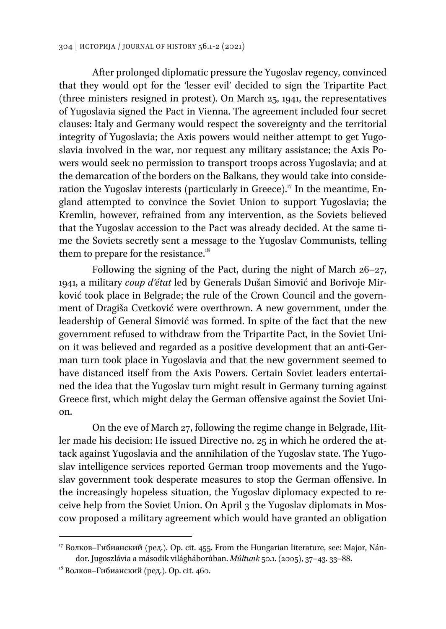#### 304 | ИСТОРИЈА / JOURNAL OF HISTORY 56.1-2 (2021)

After prolonged diplomatic pressure the Yugoslav regency, convinced that they would opt for the 'lesser evil' decided to sign the Tripartite Pact (three ministers resigned in protest). On March 25, 1941, the representatives of Yugoslavia signed the Pact in Vienna. The agreement included four secret clauses: Italy and Germany would respect the sovereignty and the territorial integrity of Yugoslavia; the Axis powers would neither attempt to get Yugoslavia involved in the war, nor request any military assistance; the Axis Powers would seek no permission to transport troops across Yugoslavia; and at the demarcation of the borders on the Balkans, they would take into consideration the Yugoslav interests (particularly in Greece).<sup>17</sup> In the meantime, England attempted to convince the Soviet Union to support Yugoslavia; the Kremlin, however, refrained from any intervention, as the Soviets believed that the Yugoslav accession to the Pact was already decided. At the same time the Soviets secretly sent a message to the Yugoslav Communists, telling them to prepare for the resistance.<sup>18</sup>

Following the signing of the Pact, during the night of March 26–27, 1941, a military *coup d'état* led by Generals Dušan Simović and Borivoje Mirković took place in Belgrade; the rule of the Crown Council and the government of Dragiša Cvetković were overthrown. A new government, under the leadership of General Simović was formed. In spite of the fact that the new government refused to withdraw from the Tripartite Pact, in the Soviet Union it was believed and regarded as a positive development that an anti-German turn took place in Yugoslavia and that the new government seemed to have distanced itself from the Axis Powers. Certain Soviet leaders entertained the idea that the Yugoslav turn might result in Germany turning against Greece first, which might delay the German offensive against the Soviet Union.

On the eve of March 27, following the regime change in Belgrade, Hitler made his decision: He issued Directive no. 25 in which he ordered the attack against Yugoslavia and the annihilation of the Yugoslav state. The Yugoslav intelligence services reported German troop movements and the Yugoslav government took desperate measures to stop the German offensive. In the increasingly hopeless situation, the Yugoslav diplomacy expected to receive help from the Soviet Union. On April 3 the Yugoslav diplomats in Moscow proposed a military agreement which would have granted an obligation

<sup>&</sup>lt;sup>17</sup> Волков–Гибианский (ред.). Op. cit. 455. From the Hungarian literature, see: Major, Nándor. Jugoszlávia a második világháborúban. *Múltunk* 50.1. (2005), 37–43. 33–88. 18 Волков–Гибианский (ред.). Op. cit. 460.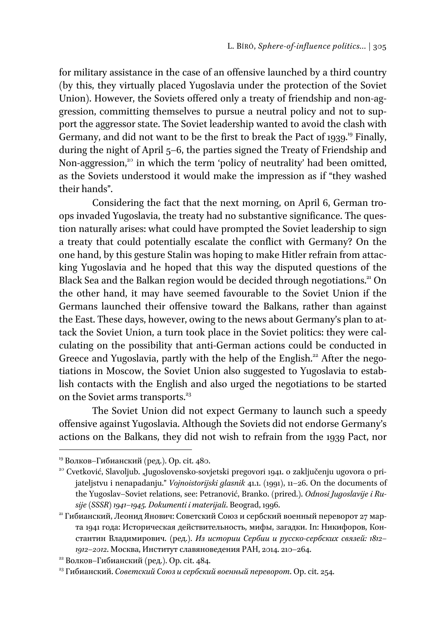for military assistance in the case of an offensive launched by a third country (by this, they virtually placed Yugoslavia under the protection of the Soviet Union). However, the Soviets offered only a treaty of friendship and non-aggression, committing themselves to pursue a neutral policy and not to support the aggressor state. The Soviet leadership wanted to avoid the clash with Germany, and did not want to be the first to break the Pact of 1939.<sup>19</sup> Finally, during the night of April 5–6, the parties signed the Treaty of Friendship and Non-aggression,<sup>20</sup> in which the term 'policy of neutrality' had been omitted, as the Soviets understood it would make the impression as if "they washed their hands".

Considering the fact that the next morning, on April 6, German troops invaded Yugoslavia, the treaty had no substantive significance. The question naturally arises: what could have prompted the Soviet leadership to sign a treaty that could potentially escalate the conflict with Germany? On the one hand, by this gesture Stalin was hoping to make Hitler refrain from attacking Yugoslavia and he hoped that this way the disputed questions of the Black Sea and the Balkan region would be decided through negotiations.<sup>21</sup> On the other hand, it may have seemed favourable to the Soviet Union if the Germans launched their offensive toward the Balkans, rather than against the East. These days, however, owing to the news about Germany's plan to attack the Soviet Union, a turn took place in the Soviet politics: they were calculating on the possibility that anti-German actions could be conducted in Greece and Yugoslavia, partly with the help of the English.<sup>22</sup> After the negotiations in Moscow, the Soviet Union also suggested to Yugoslavia to establish contacts with the English and also urged the negotiations to be started on the Soviet arms transports.<sup>23</sup>

The Soviet Union did not expect Germany to launch such a speedy offensive against Yugoslavia. Although the Soviets did not endorse Germany's actions on the Balkans, they did not wish to refrain from the 1939 Pact, nor

<sup>&</sup>lt;sup>19</sup> Волков–Гибианский (ред.). Op. cit. 480.<br><sup>20</sup> Cvetković, Slavoljub. "Jugoslovensko-sovjetski pregovori 1941. o zaključenju ugovora o prijateljstvu i nenapadanju." *Vojnoistorijski glasnik* 41.1. (1991), 11–26. On the documents of the Yugoslav–Soviet relations, see: Petranović, Branko. (prired.). *Odnosi Jugoslavije i Rusije (SSSR) 1941–1945. Dokumenti i materijali*. Beograd, 1996. 21 Гибианский, Леонид Янович: Советский Союз и сербский военный переворот 27 мар-

та 1941 года: Историческая действительность, мифы, загадки. In: Никифоров, Константин Владимирович. (ред.). *Из истории Сербии и русско-сербских связей: 1812– 1912–2012*. Москва, Институт славяноведения РАН, 2014. 210–264. 22 Волков–Гибианский (ред.). Op. cit. 484.

<sup>23</sup> Гибианский. *Советский Союз и сербский военный переворот*. Op. cit. 254.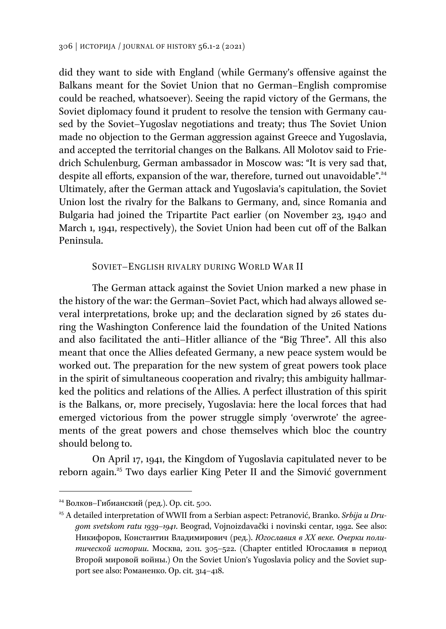did they want to side with England (while Germany's offensive against the Balkans meant for the Soviet Union that no German–English compromise could be reached, whatsoever). Seeing the rapid victory of the Germans, the Soviet diplomacy found it prudent to resolve the tension with Germany caused by the Soviet–Yugoslav negotiations and treaty; thus The Soviet Union made no objection to the German aggression against Greece and Yugoslavia, and accepted the territorial changes on the Balkans. All Molotov said to Friedrich Schulenburg, German ambassador in Moscow was: "It is very sad that, despite all efforts, expansion of the war, therefore, turned out unavoidable".<sup>24</sup> Ultimately, after the German attack and Yugoslavia's capitulation, the Soviet Union lost the rivalry for the Balkans to Germany, and, since Romania and Bulgaria had joined the Tripartite Pact earlier (on November 23, 1940 and March 1, 1941, respectively), the Soviet Union had been cut off of the Balkan Peninsula.

## SOVIET–ENGLISH RIVALRY DURING WORLD WAR II

The German attack against the Soviet Union marked a new phase in the history of the war: the German–Soviet Pact, which had always allowed several interpretations, broke up; and the declaration signed by 26 states during the Washington Conference laid the foundation of the United Nations and also facilitated the anti–Hitler alliance of the "Big Three". All this also meant that once the Allies defeated Germany, a new peace system would be worked out. The preparation for the new system of great powers took place in the spirit of simultaneous cooperation and rivalry; this ambiguity hallmarked the politics and relations of the Allies. A perfect illustration of this spirit is the Balkans, or, more precisely, Yugoslavia: here the local forces that had emerged victorious from the power struggle simply 'overwrote' the agreements of the great powers and chose themselves which bloc the country should belong to.

On April 17, 1941, the Kingdom of Yugoslavia capitulated never to be reborn again.25 Two days earlier King Peter II and the Simović government

<sup>&</sup>lt;sup>24</sup> Волков–Гибианский (ред.). Op. cit. 500.

<sup>25</sup> A detailed interpretation of WWII from a Serbian aspect: Petranović, Branko. *Srbija u Drugom svetskom ratu 1939–1941*. Beograd, Vojnoizdavački i novinski centar, 1992. See also: Никифоров, Константин Владимирович (ред.). *Югославия в ХХ веке. Очерки политической истории*. Москва, 2011. 305–522. (Chapter entitled Югославия в период Второй мировой войны.) On the Soviet Union's Yugoslavia policy and the Soviet support see also: Романенко. Op. cit. 314–418.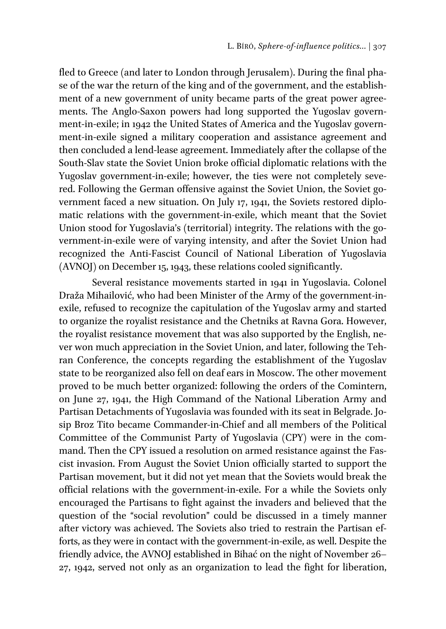fled to Greece (and later to London through Jerusalem). During the final phase of the war the return of the king and of the government, and the establishment of a new government of unity became parts of the great power agreements. The Anglo-Saxon powers had long supported the Yugoslav government-in-exile; in 1942 the United States of America and the Yugoslav government-in-exile signed a military cooperation and assistance agreement and then concluded a lend-lease agreement. Immediately after the collapse of the South-Slav state the Soviet Union broke official diplomatic relations with the Yugoslav government-in-exile; however, the ties were not completely severed. Following the German offensive against the Soviet Union, the Soviet government faced a new situation. On July 17, 1941, the Soviets restored diplomatic relations with the government-in-exile, which meant that the Soviet Union stood for Yugoslavia's (territorial) integrity. The relations with the government-in-exile were of varying intensity, and after the Soviet Union had recognized the Anti-Fascist Council of National Liberation of Yugoslavia (AVNOJ) on December 15, 1943, these relations cooled significantly.

Several resistance movements started in 1941 in Yugoslavia. Colonel Draža Mihailović, who had been Minister of the Army of the government-inexile, refused to recognize the capitulation of the Yugoslav army and started to organize the royalist resistance and the Chetniks at Ravna Gora. However, the royalist resistance movement that was also supported by the English, never won much appreciation in the Soviet Union, and later, following the Tehran Conference, the concepts regarding the establishment of the Yugoslav state to be reorganized also fell on deaf ears in Moscow. The other movement proved to be much better organized: following the orders of the Comintern, on June 27, 1941, the High Command of the National Liberation Army and Partisan Detachments of Yugoslavia was founded with its seat in Belgrade. Josip Broz Tito became Commander-in-Chief and all members of the Political Committee of the Communist Party of Yugoslavia (CPY) were in the command. Then the CPY issued a resolution on armed resistance against the Fascist invasion. From August the Soviet Union officially started to support the Partisan movement, but it did not yet mean that the Soviets would break the official relations with the government-in-exile. For a while the Soviets only encouraged the Partisans to fight against the invaders and believed that the question of the "social revolution" could be discussed in a timely manner after victory was achieved. The Soviets also tried to restrain the Partisan efforts, as they were in contact with the government-in-exile, as well. Despite the friendly advice, the AVNOJ established in Bihać on the night of November 26– 27, 1942, served not only as an organization to lead the fight for liberation,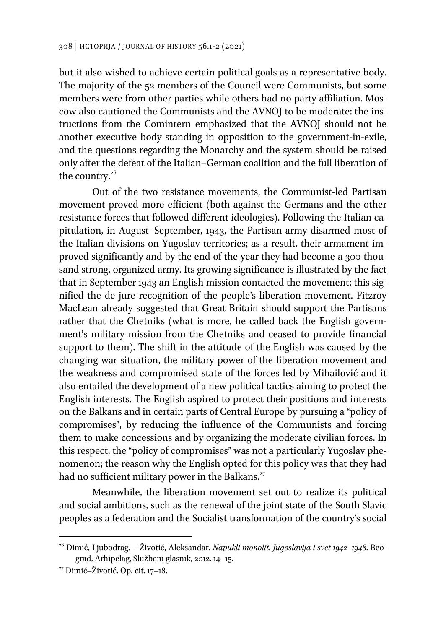but it also wished to achieve certain political goals as a representative body. The majority of the 52 members of the Council were Communists, but some members were from other parties while others had no party affiliation. Moscow also cautioned the Communists and the AVNOJ to be moderate: the instructions from the Comintern emphasized that the AVNOJ should not be another executive body standing in opposition to the government-in-exile, and the questions regarding the Monarchy and the system should be raised only after the defeat of the Italian–German coalition and the full liberation of the country.<sup>26</sup>

Out of the two resistance movements, the Communist-led Partisan movement proved more efficient (both against the Germans and the other resistance forces that followed different ideologies). Following the Italian capitulation, in August–September, 1943, the Partisan army disarmed most of the Italian divisions on Yugoslav territories; as a result, their armament improved significantly and by the end of the year they had become a 300 thousand strong, organized army. Its growing significance is illustrated by the fact that in September 1943 an English mission contacted the movement; this signified the de jure recognition of the people's liberation movement. Fitzroy MacLean already suggested that Great Britain should support the Partisans rather that the Chetniks (what is more, he called back the English government's military mission from the Chetniks and ceased to provide financial support to them). The shift in the attitude of the English was caused by the changing war situation, the military power of the liberation movement and the weakness and compromised state of the forces led by Mihailović and it also entailed the development of a new political tactics aiming to protect the English interests. The English aspired to protect their positions and interests on the Balkans and in certain parts of Central Europe by pursuing a "policy of compromises", by reducing the influence of the Communists and forcing them to make concessions and by organizing the moderate civilian forces. In this respect, the "policy of compromises" was not a particularly Yugoslav phenomenon; the reason why the English opted for this policy was that they had had no sufficient military power in the Balkans.<sup>27</sup>

Meanwhile, the liberation movement set out to realize its political and social ambitions, such as the renewal of the joint state of the South Slavic peoples as a federation and the Socialist transformation of the country's social

<sup>26</sup> Dimić, Ljubodrag. – Životić, Aleksandar. *Napukli monolit. Jugoslavija i svet 1942–1948*. Beograd, Arhipelag, Službeni glasnik, 2012. 14–15.<br><sup>27</sup> Dimić–Životić. Op. cit. 17–18.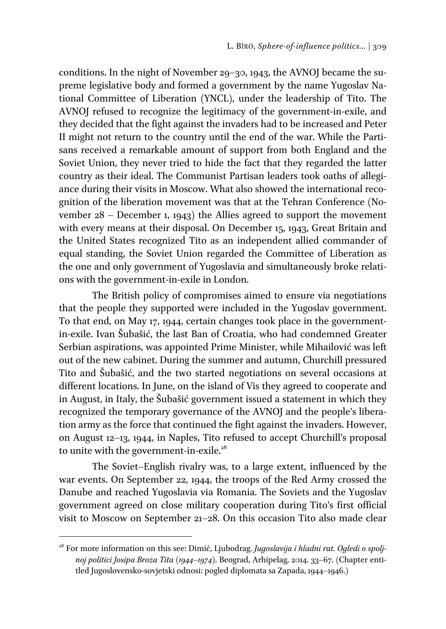conditions. In the night of November 29–30, 1943, the AVNOJ became the supreme legislative body and formed a government by the name Yugoslav National Committee of Liberation (YNCL), under the leadership of Tito. The AVNOJ refused to recognize the legitimacy of the government-in-exile, and they decided that the fight against the invaders had to be increased and Peter II might not return to the country until the end of the war. While the Partisans received a remarkable amount of support from both England and the Soviet Union, they never tried to hide the fact that they regarded the latter country as their ideal. The Communist Partisan leaders took oaths of allegiance during their visits in Moscow. What also showed the international recognition of the liberation movement was that at the Tehran Conference (November 28 – December 1, 1943) the Allies agreed to support the movement with every means at their disposal. On December 15, 1943, Great Britain and the United States recognized Tito as an independent allied commander of equal standing, the Soviet Union regarded the Committee of Liberation as the one and only government of Yugoslavia and simultaneously broke relations with the government-in-exile in London.

The British policy of compromises aimed to ensure via negotiations that the people they supported were included in the Yugoslav government. To that end, on May 17, 1944, certain changes took place in the governmentin-exile. Ivan Šubašić, the last Ban of Croatia, who had condemned Greater Serbian aspirations, was appointed Prime Minister, while Mihailović was left out of the new cabinet. During the summer and autumn, Churchill pressured Tito and Šubašić, and the two started negotiations on several occasions at different locations. In June, on the island of Vis they agreed to cooperate and in August, in Italy, the Šubašić government issued a statement in which they recognized the temporary governance of the AVNOJ and the people's liberation army as the force that continued the fight against the invaders. However, on August 12–13, 1944, in Naples, Tito refused to accept Churchill's proposal to unite with the government-in-exile.<sup>28</sup>

The Soviet–English rivalry was, to a large extent, influenced by the war events. On September 22, 1944, the troops of the Red Army crossed the Danube and reached Yugoslavia via Romania. The Soviets and the Yugoslav government agreed on close military cooperation during Tito's first official visit to Moscow on September 21–28. On this occasion Tito also made clear

<sup>&</sup>lt;sup>28</sup> For more information on this see: Dimić, Ljubodrag, *Jugoslavija i hladni rat. Ogledi o spoljnoj politici Josipa Broza Tita (1944–1974)*. Beograd, Arhipelag, 2014. 33–67. (Chapter entitled Jugoslovensko-sovjetski odnosi: pogled diplomata sa Zapada, 1944–1946.)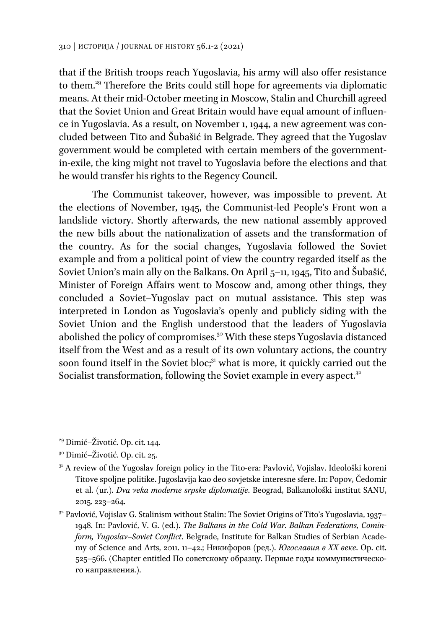that if the British troops reach Yugoslavia, his army will also offer resistance to them.<sup>29</sup> Therefore the Brits could still hope for agreements via diplomatic means. At their mid-October meeting in Moscow, Stalin and Churchill agreed that the Soviet Union and Great Britain would have equal amount of influence in Yugoslavia. As a result, on November 1, 1944, a new agreement was concluded between Tito and Šubašić in Belgrade. They agreed that the Yugoslav government would be completed with certain members of the governmentin-exile, the king might not travel to Yugoslavia before the elections and that he would transfer his rights to the Regency Council.

The Communist takeover, however, was impossible to prevent. At the elections of November, 1945, the Communist-led People's Front won a landslide victory. Shortly afterwards, the new national assembly approved the new bills about the nationalization of assets and the transformation of the country. As for the social changes, Yugoslavia followed the Soviet example and from a political point of view the country regarded itself as the Soviet Union's main ally on the Balkans. On April 5–11, 1945, Tito and Šubašić, Minister of Foreign Affairs went to Moscow and, among other things, they concluded a Soviet–Yugoslav pact on mutual assistance. This step was interpreted in London as Yugoslavia's openly and publicly siding with the Soviet Union and the English understood that the leaders of Yugoslavia abolished the policy of compromises.<sup>30</sup> With these steps Yugoslavia distanced itself from the West and as a result of its own voluntary actions, the country soon found itself in the Soviet bloc;<sup>31</sup> what is more, it quickly carried out the Socialist transformation, following the Soviet example in every aspect.<sup>32</sup>

 $29$  Dimić–Životić. Op. cit. 144.

<sup>30</sup> Dimić–Životić. Op. cit. 25.

<sup>&</sup>lt;sup>31</sup> A review of the Yugoslav foreign policy in the Tito-era: Pavlović, Vojislav. Ideološki koreni Titove spoljne politike. Jugoslavija kao deo sovjetske interesne sfere. In: Popov, Čedomir et al. (ur.). *Dva veka moderne srpske diplomatije*. Beograd, Balkanološki institut SANU, 2015. 223–264.

<sup>&</sup>lt;sup>32</sup> Pavlović, Vojislav G. Stalinism without Stalin: The Soviet Origins of Tito's Yugoslavia, 1937-1948. In: Pavlović, V. G. (ed.). *The Balkans in the Cold War. Balkan Federations, Cominform, Yugoslav–Soviet Conflict*. Belgrade, Institute for Balkan Studies of Serbian Academy of Science and Arts, 2011. 11–42.; Никифоров (ред.). *Югославия в ХХ веке*. Op. cit. 525–566. (Chapter entitled По советскому образцу. Первые годы коммунистического направления.).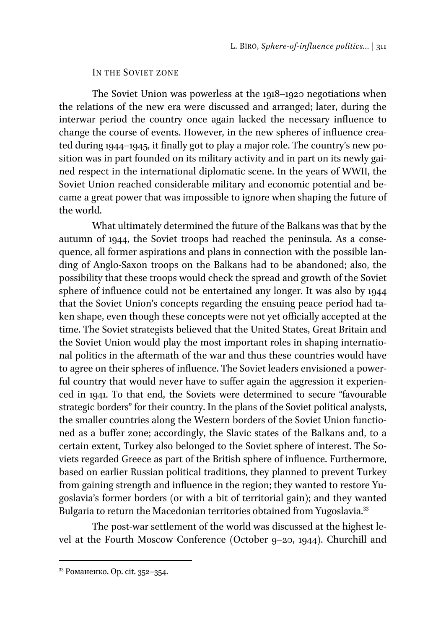#### IN THE SOVIET ZONE

The Soviet Union was powerless at the 1918–1920 negotiations when the relations of the new era were discussed and arranged; later, during the interwar period the country once again lacked the necessary influence to change the course of events. However, in the new spheres of influence created during 1944–1945, it finally got to play a major role. The country's new position was in part founded on its military activity and in part on its newly gained respect in the international diplomatic scene. In the years of WWII, the Soviet Union reached considerable military and economic potential and became a great power that was impossible to ignore when shaping the future of the world.

What ultimately determined the future of the Balkans was that by the autumn of 1944, the Soviet troops had reached the peninsula. As a consequence, all former aspirations and plans in connection with the possible landing of Anglo-Saxon troops on the Balkans had to be abandoned; also, the possibility that these troops would check the spread and growth of the Soviet sphere of influence could not be entertained any longer. It was also by 1944 that the Soviet Union's concepts regarding the ensuing peace period had taken shape, even though these concepts were not yet officially accepted at the time. The Soviet strategists believed that the United States, Great Britain and the Soviet Union would play the most important roles in shaping international politics in the aftermath of the war and thus these countries would have to agree on their spheres of influence. The Soviet leaders envisioned a powerful country that would never have to suffer again the aggression it experienced in 1941. To that end, the Soviets were determined to secure "favourable strategic borders" for their country. In the plans of the Soviet political analysts, the smaller countries along the Western borders of the Soviet Union functioned as a buffer zone; accordingly, the Slavic states of the Balkans and, to a certain extent, Turkey also belonged to the Soviet sphere of interest. The Soviets regarded Greece as part of the British sphere of influence. Furthermore, based on earlier Russian political traditions, they planned to prevent Turkey from gaining strength and influence in the region; they wanted to restore Yugoslavia's former borders (or with a bit of territorial gain); and they wanted Bulgaria to return the Macedonian territories obtained from Yugoslavia.<sup>33</sup>

The post-war settlement of the world was discussed at the highest level at the Fourth Moscow Conference (October 9–20, 1944). Churchill and

<sup>33</sup> Романенко. Op. cit. 352–354.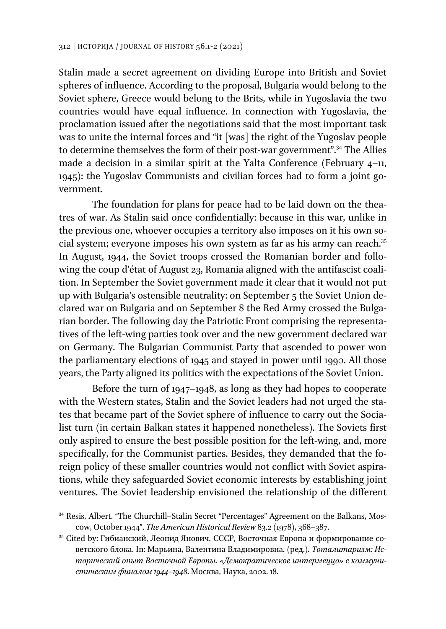Stalin made a secret agreement on dividing Europe into British and Soviet spheres of influence. According to the proposal, Bulgaria would belong to the Soviet sphere, Greece would belong to the Brits, while in Yugoslavia the two countries would have equal influence. In connection with Yugoslavia, the proclamation issued after the negotiations said that the most important task was to unite the internal forces and "it [was] the right of the Yugoslav people to determine themselves the form of their post-war government".34 The Allies made a decision in a similar spirit at the Yalta Conference (February 4–11, 1945): the Yugoslav Communists and civilian forces had to form a joint government.

The foundation for plans for peace had to be laid down on the theatres of war. As Stalin said once confidentially: because in this war, unlike in the previous one, whoever occupies a territory also imposes on it his own social system; everyone imposes his own system as far as his army can reach.<sup>35</sup> In August, 1944, the Soviet troops crossed the Romanian border and following the coup d'état of August 23, Romania aligned with the antifascist coalition. In September the Soviet government made it clear that it would not put up with Bulgaria's ostensible neutrality: on September 5 the Soviet Union declared war on Bulgaria and on September 8 the Red Army crossed the Bulgarian border. The following day the Patriotic Front comprising the representatives of the left-wing parties took over and the new government declared war on Germany. The Bulgarian Communist Party that ascended to power won the parliamentary elections of 1945 and stayed in power until 1990. All those years, the Party aligned its politics with the expectations of the Soviet Union.

Before the turn of 1947–1948, as long as they had hopes to cooperate with the Western states, Stalin and the Soviet leaders had not urged the states that became part of the Soviet sphere of influence to carry out the Socialist turn (in certain Balkan states it happened nonetheless). The Soviets first only aspired to ensure the best possible position for the left-wing, and, more specifically, for the Communist parties. Besides, they demanded that the foreign policy of these smaller countries would not conflict with Soviet aspirations, while they safeguarded Soviet economic interests by establishing joint ventures. The Soviet leadership envisioned the relationship of the different

<sup>34</sup> Resis, Albert. "The Churchill–Stalin Secret "Percentages" Agreement on the Balkans, Mos-

cow, October 1944". *The American Historical Review* 83.2 (1978), 368–387.<br><sup>35</sup> Cited by: Гибианский, Леонид Янович. СССР, Восточная Европа и формирование советского блока. In: Марьина, Валентина Владимировна. (ред.). *Тоталитаризм: Исторический опыт Восточной Европы. «Демократическое интермеццо» с коммунистическим финалом 1944–1948*. Москва, Наука, 2002. 18.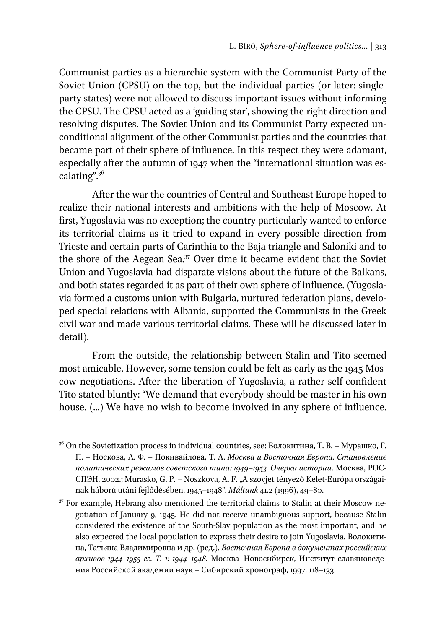Communist parties as a hierarchic system with the Communist Party of the Soviet Union (CPSU) on the top, but the individual parties (or later: singleparty states) were not allowed to discuss important issues without informing the CPSU. The CPSU acted as a 'guiding star', showing the right direction and resolving disputes. The Soviet Union and its Communist Party expected unconditional alignment of the other Communist parties and the countries that became part of their sphere of influence. In this respect they were adamant, especially after the autumn of 1947 when the "international situation was escalating".36

After the war the countries of Central and Southeast Europe hoped to realize their national interests and ambitions with the help of Moscow. At first, Yugoslavia was no exception; the country particularly wanted to enforce its territorial claims as it tried to expand in every possible direction from Trieste and certain parts of Carinthia to the Baja triangle and Saloniki and to the shore of the Aegean Sea.<sup>37</sup> Over time it became evident that the Soviet Union and Yugoslavia had disparate visions about the future of the Balkans, and both states regarded it as part of their own sphere of influence. (Yugoslavia formed a customs union with Bulgaria, nurtured federation plans, developed special relations with Albania, supported the Communists in the Greek civil war and made various territorial claims. These will be discussed later in detail).

From the outside, the relationship between Stalin and Tito seemed most amicable. However, some tension could be felt as early as the 1945 Moscow negotiations. After the liberation of Yugoslavia, a rather self-confident Tito stated bluntly: "We demand that everybody should be master in his own house. (...) We have no wish to become involved in any sphere of influence.

<sup>&</sup>lt;sup>36</sup> On the Sovietization process in individual countries, see: Волокитина, Т. В. – Мурашко, Г. П. – Носкова, А. Ф. – Покивайлова, Т. А. *Москва и Восточная Европа. Становление политических режимов советского типа: 1949–1953. Очерки истории*. Москва, РОС-СПЭН, 2002.; Murasko, G. P. – Noszkova, A. F. "A szovjet tényező Kelet-Európa országainak háború utáni fejlődésében, 1945–1948". *Múltunk* 41.2 (1996), 49–80.

<sup>&</sup>lt;sup>37</sup> For example, Hebrang also mentioned the territorial claims to Stalin at their Moscow negotiation of January 9, 1945. He did not receive unambiguous support, because Stalin considered the existence of the South-Slav population as the most important, and he also expected the local population to express their desire to join Yugoslavia. Волокитина, Татьяна Владимировна и др. (ред.). *Восточная Европа в документах российских архивов 1944–1953 гг. Т. 1: 1944–1948*. Москва–Новосибирск, Институт славяноведения Российской академии наук – Сибирский хронограф, 1997. 118–133.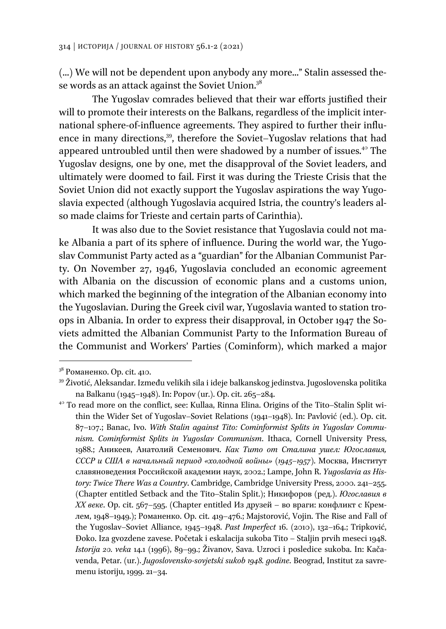(...) We will not be dependent upon anybody any more..." Stalin assessed these words as an attack against the Soviet Union.<sup>38</sup>

The Yugoslav comrades believed that their war efforts justified their will to promote their interests on the Balkans, regardless of the implicit international sphere-of-influence agreements. They aspired to further their influence in many directions,<sup>39</sup>, therefore the Soviet–Yugoslav relations that had appeared untroubled until then were shadowed by a number of issues.<sup>40</sup> The Yugoslav designs, one by one, met the disapproval of the Soviet leaders, and ultimately were doomed to fail. First it was during the Trieste Crisis that the Soviet Union did not exactly support the Yugoslav aspirations the way Yugoslavia expected (although Yugoslavia acquired Istria, the country's leaders also made claims for Trieste and certain parts of Carinthia).

It was also due to the Soviet resistance that Yugoslavia could not make Albania a part of its sphere of influence. During the world war, the Yugoslav Communist Party acted as a "guardian" for the Albanian Communist Party. On November 27, 1946, Yugoslavia concluded an economic agreement with Albania on the discussion of economic plans and a customs union, which marked the beginning of the integration of the Albanian economy into the Yugoslavian. During the Greek civil war, Yugoslavia wanted to station troops in Albania. In order to express their disapproval, in October 1947 the Soviets admitted the Albanian Communist Party to the Information Bureau of the Communist and Workers' Parties (Cominform), which marked a major

l

<sup>&</sup>lt;sup>38</sup> Романенко. Op. cit. 410.

<sup>&</sup>lt;sup>39</sup> Životić, Aleksandar. Između velikih sila i ideje balkanskog jedinstva. Jugoslovenska politika na Balkanu (1945–1948). In: Popov (ur.). Op. cit. 265–284. 40 To read more on the conflict, see: Kullaa, Rinna Elina. Origins of the Tito–Stalin Split wi-

thin the Wider Set of Yugoslav–Soviet Relations (1941–1948). In: Pavlović (ed.). Op. cit. 87–107.; Banac, Ivo. *With Stalin against Tito: Cominformist Splits in Yugoslav Communism. Cominformist Splits in Yugoslav Communism*. Ithaca, Cornell University Press, 1988.; Аникеев, Анатолий Семенович. *Как Тито от Сталина ушел: Югославия, СССР и США в начальный период «холодной войны» (1945–1957)*. Москва, Институт славяноведения Российской академии наук, 2002.; Lampe, John R. *Yugoslavia as History: Twice There Was a Country*. Cambridge, Cambridge University Press, 2000. 241–255. (Chapter entitled Setback and the Tito–Stalin Split.); Никифоров (ред.). *Югославия в ХХ веке*. Op. cit. 567–595. (Chapter entitled Из друзей – во враги: конфликт с Кремлем, 1948–1949.); Романенко. Op. cit. 419–476.; Majstorović, Vojin. The Rise and Fall of the Yugoslav–Soviet Alliance, 1945–1948. *Past Imperfect* 16. (2010), 132–164.; Tripković, Đoko. Iza gvozdene zavese. Početak i eskalacija sukoba Тitо – Staljin prvih meseci 1948. *Istorija 20. veka* 14.1 (1996), 89–99.; Živanov, Sava. Uzroci i posledice sukoba. In: Kačavenda, Petar. (ur.). *Jugoslovensko-sovjetski sukob 1948. godine*. Beograd, Institut za savremenu istoriju, 1999. 21–34.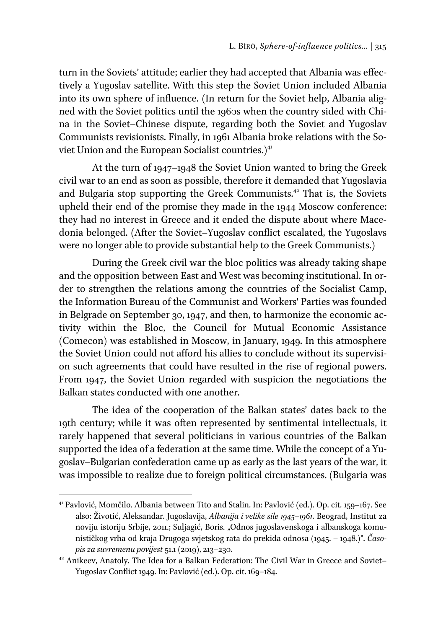turn in the Soviets' attitude; earlier they had accepted that Albania was effectively a Yugoslav satellite. With this step the Soviet Union included Albania into its own sphere of influence. (In return for the Soviet help, Albania aligned with the Soviet politics until the 1960s when the country sided with China in the Soviet–Chinese dispute, regarding both the Soviet and Yugoslav Communists revisionists. Finally, in 1961 Albania broke relations with the Soviet Union and the European Socialist countries. $)^4$ 

At the turn of 1947–1948 the Soviet Union wanted to bring the Greek civil war to an end as soon as possible, therefore it demanded that Yugoslavia and Bulgaria stop supporting the Greek Communists.<sup>42</sup> That is, the Soviets upheld their end of the promise they made in the 1944 Moscow conference: they had no interest in Greece and it ended the dispute about where Macedonia belonged. (After the Soviet–Yugoslav conflict escalated, the Yugoslavs were no longer able to provide substantial help to the Greek Communists.)

During the Greek civil war the bloc politics was already taking shape and the opposition between East and West was becoming institutional. In order to strengthen the relations among the countries of the Socialist Camp, the Information Bureau of the Communist and Workers' Parties was founded in Belgrade on September 30, 1947, and then, to harmonize the economic activity within the Bloc, the Council for Mutual Economic Assistance (Comecon) was established in Moscow, in January, 1949. In this atmosphere the Soviet Union could not afford his allies to conclude without its supervision such agreements that could have resulted in the rise of regional powers. From 1947, the Soviet Union regarded with suspicion the negotiations the Balkan states conducted with one another.

The idea of the cooperation of the Balkan states' dates back to the 19th century; while it was often represented by sentimental intellectuals, it rarely happened that several politicians in various countries of the Balkan supported the idea of a federation at the same time. While the concept of a Yugoslav–Bulgarian confederation came up as early as the last years of the war, it was impossible to realize due to foreign political circumstances. (Bulgaria was

<sup>41</sup> Pavlović, Momčilo. Albania between Tito and Stalin. In: Pavlović (ed.). Op. cit. 159–167. See also: Životić, Aleksandar. Jugoslavija, *Albanija i velike sile 1945–1961*. Beograd, Institut za noviju istoriju Srbije, 2011.; Suljagić, Boris. "Odnos jugoslavenskoga i albanskoga komunističkog vrha od kraja Drugoga svjetskog rata do prekida odnosa (1945. – 1948.)". *Časopis za suvremenu povijest* 51.1 (2019), 213–230. 42 Anikeev, Anatoly. The Idea for a Balkan Federation: The Civil War in Greece and Soviet–

Yugoslav Conflict 1949. In: Pavlović (ed.). Op. cit. 169–184.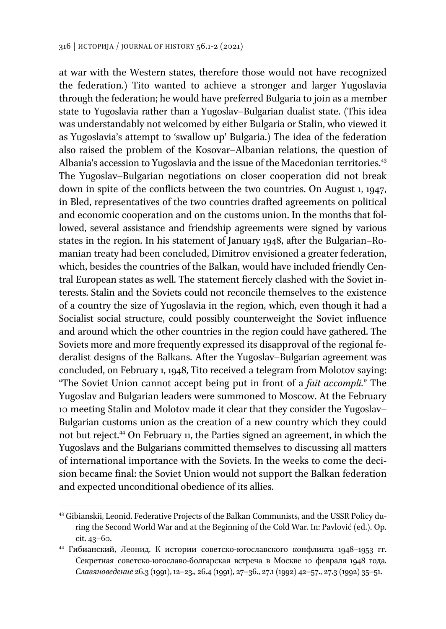at war with the Western states, therefore those would not have recognized the federation.) Tito wanted to achieve a stronger and larger Yugoslavia through the federation; he would have preferred Bulgaria to join as a member state to Yugoslavia rather than a Yugoslav–Bulgarian dualist state. (This idea was understandably not welcomed by either Bulgaria or Stalin, who viewed it as Yugoslavia's attempt to 'swallow up' Bulgaria.) The idea of the federation also raised the problem of the Kosovar–Albanian relations, the question of Albania's accession to Yugoslavia and the issue of the Macedonian territories.<sup>43</sup> The Yugoslav–Bulgarian negotiations on closer cooperation did not break down in spite of the conflicts between the two countries. On August 1, 1947, in Bled, representatives of the two countries drafted agreements on political and economic cooperation and on the customs union. In the months that followed, several assistance and friendship agreements were signed by various states in the region. In his statement of January 1948, after the Bulgarian–Romanian treaty had been concluded, Dimitrov envisioned a greater federation, which, besides the countries of the Balkan, would have included friendly Central European states as well. The statement fiercely clashed with the Soviet interests. Stalin and the Soviets could not reconcile themselves to the existence of a country the size of Yugoslavia in the region, which, even though it had a Socialist social structure, could possibly counterweight the Soviet influence and around which the other countries in the region could have gathered. The Soviets more and more frequently expressed its disapproval of the regional federalist designs of the Balkans. After the Yugoslav–Bulgarian agreement was concluded, on February 1, 1948, Tito received a telegram from Molotov saying: "The Soviet Union cannot accept being put in front of a *fait accompli.*" The Yugoslav and Bulgarian leaders were summoned to Moscow. At the February 10 meeting Stalin and Molotov made it clear that they consider the Yugoslav– Bulgarian customs union as the creation of a new country which they could not but reject.44 On February 11, the Parties signed an agreement, in which the Yugoslavs and the Bulgarians committed themselves to discussing all matters of international importance with the Soviets. In the weeks to come the decision became final: the Soviet Union would not support the Balkan federation and expected unconditional obedience of its allies.

<sup>&</sup>lt;sup>43</sup> Gibianskii, Leonid. Federative Projects of the Balkan Communists, and the USSR Policy during the Second World War and at the Beginning of the Cold War. In: Pavlović (ed.). Op. cit. 43–60. 44 Гибианский, Леонид. К истории советско-югославского конфликта 1948–1953 гг.

Секретная советско-югославо-болгарская встреча в Москве 10 февраля 1948 года. *Славяноведение* 26.3 (1991), 12–23., 26.4 (1991), 27–36., 27.1 (1992) 42–57., 27.3 (1992) 35–51.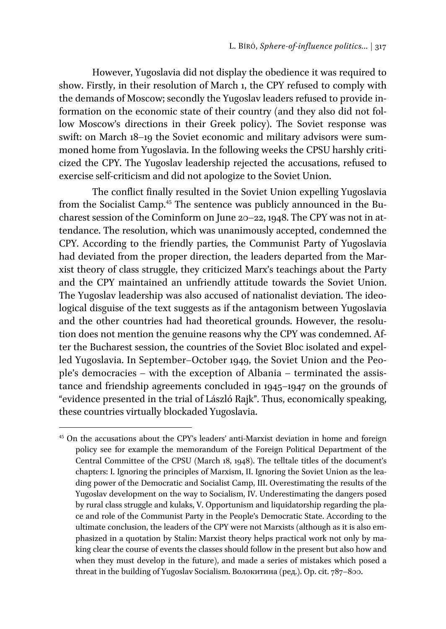However, Yugoslavia did not display the obedience it was required to show. Firstly, in their resolution of March 1, the CPY refused to comply with the demands of Moscow; secondly the Yugoslav leaders refused to provide information on the economic state of their country (and they also did not follow Moscow's directions in their Greek policy). The Soviet response was swift: on March 18–19 the Soviet economic and military advisors were summoned home from Yugoslavia. In the following weeks the CPSU harshly criticized the CPY. The Yugoslav leadership rejected the accusations, refused to exercise self-criticism and did not apologize to the Soviet Union.

The conflict finally resulted in the Soviet Union expelling Yugoslavia from the Socialist Camp.<sup>45</sup> The sentence was publicly announced in the Bucharest session of the Cominform on June 20–22, 1948. The CPY was not in attendance. The resolution, which was unanimously accepted, condemned the CPY. According to the friendly parties, the Communist Party of Yugoslavia had deviated from the proper direction, the leaders departed from the Marxist theory of class struggle, they criticized Marx's teachings about the Party and the CPY maintained an unfriendly attitude towards the Soviet Union. The Yugoslav leadership was also accused of nationalist deviation. The ideological disguise of the text suggests as if the antagonism between Yugoslavia and the other countries had had theoretical grounds. However, the resolution does not mention the genuine reasons why the CPY was condemned. After the Bucharest session, the countries of the Soviet Bloc isolated and expelled Yugoslavia. In September–October 1949, the Soviet Union and the People's democracies – with the exception of Albania – terminated the assistance and friendship agreements concluded in 1945–1947 on the grounds of "evidence presented in the trial of László Rajk". Thus, economically speaking, these countries virtually blockaded Yugoslavia.

<sup>45</sup> On the accusations about the CPY's leaders' anti-Marxist deviation in home and foreign policy see for example the memorandum of the Foreign Political Department of the Central Committee of the CPSU (March 18, 1948). The telltale titles of the document's chapters: I. Ignoring the principles of Marxism, II. Ignoring the Soviet Union as the leading power of the Democratic and Socialist Camp, III. Overestimating the results of the Yugoslav development on the way to Socialism, IV. Underestimating the dangers posed by rural class struggle and kulaks, V. Opportunism and liquidatorship regarding the place and role of the Communist Party in the People's Democratic State. According to the ultimate conclusion, the leaders of the CPY were not Marxists (although as it is also emphasized in a quotation by Stalin: Marxist theory helps practical work not only by making clear the course of events the classes should follow in the present but also how and when they must develop in the future), and made a series of mistakes which posed a threat in the building of Yugoslav Socialism. Волокитина (ред.). Op. cit. 787–800.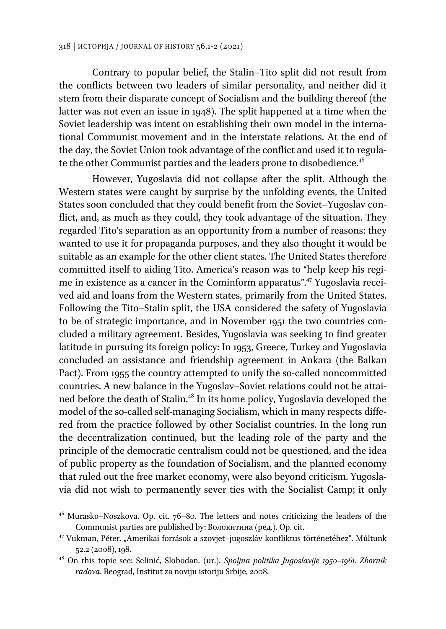Contrary to popular belief, the Stalin–Tito split did not result from the conflicts between two leaders of similar personality, and neither did it stem from their disparate concept of Socialism and the building thereof (the latter was not even an issue in 1948). The split happened at a time when the Soviet leadership was intent on establishing their own model in the international Communist movement and in the interstate relations. At the end of the day, the Soviet Union took advantage of the conflict and used it to regulate the other Communist parties and the leaders prone to disobedience.<sup>46</sup>

However, Yugoslavia did not collapse after the split. Although the Western states were caught by surprise by the unfolding events, the United States soon concluded that they could benefit from the Soviet–Yugoslav conflict, and, as much as they could, they took advantage of the situation. They regarded Tito's separation as an opportunity from a number of reasons: they wanted to use it for propaganda purposes, and they also thought it would be suitable as an example for the other client states. The United States therefore committed itself to aiding Tito. America's reason was to "help keep his regime in existence as a cancer in the Cominform apparatus".<sup>47</sup> Yugoslavia received aid and loans from the Western states, primarily from the United States. Following the Tito–Stalin split, the USA considered the safety of Yugoslavia to be of strategic importance, and in November 1951 the two countries concluded a military agreement. Besides, Yugoslavia was seeking to find greater latitude in pursuing its foreign policy: In 1953, Greece, Turkey and Yugoslavia concluded an assistance and friendship agreement in Ankara (the Balkan Pact). From 1955 the country attempted to unify the so-called noncommitted countries. A new balance in the Yugoslav–Soviet relations could not be attained before the death of Stalin.48 In its home policy, Yugoslavia developed the model of the so-called self-managing Socialism, which in many respects differed from the practice followed by other Socialist countries. In the long run the decentralization continued, but the leading role of the party and the principle of the democratic centralism could not be questioned, and the idea of public property as the foundation of Socialism, and the planned economy that ruled out the free market economy, were also beyond criticism. Yugoslavia did not wish to permanently sever ties with the Socialist Camp; it only

 $46$  Murasko–Noszkova. Op. cit. 76–80. The letters and notes criticizing the leaders of the Communist parties are published by: Волокитина (ред.). Op. cit.<br><sup>47</sup> Vukman, Péter. "Amerikai források a szovjet–jugoszláv konfliktus történetéhez". Múltunk

<sup>52.2 (2008), 198.</sup> 

<sup>48</sup> On this topic see: Selinić, Slobodan. (ur.). *Spoljna politika Jugoslavije 1950–1961. Zbornik radova*. Beograd, Institut za noviju istoriju Srbije, 2008.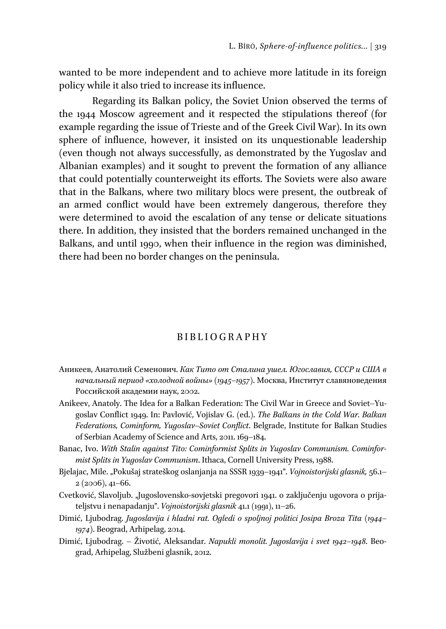wanted to be more independent and to achieve more latitude in its foreign policy while it also tried to increase its influence.

Regarding its Balkan policy, the Soviet Union observed the terms of the 1944 Moscow agreement and it respected the stipulations thereof (for example regarding the issue of Trieste and of the Greek Civil War). In its own sphere of influence, however, it insisted on its unquestionable leadership (even though not always successfully, as demonstrated by the Yugoslav and Albanian examples) and it sought to prevent the formation of any alliance that could potentially counterweight its efforts. The Soviets were also aware that in the Balkans, where two military blocs were present, the outbreak of an armed conflict would have been extremely dangerous, therefore they were determined to avoid the escalation of any tense or delicate situations there. In addition, they insisted that the borders remained unchanged in the Balkans, and until 1990, when their influence in the region was diminished, there had been no border changes on the peninsula.

## BIBLIOGRAPHY

- Аникеев, Анатолий Семенович. *Как Тито от Сталина ушел. Югославия, СССР и США в начальный период «холодной войны» (1945–1957)*. Москва, Институт славяноведения Российской академии наук, 2002.
- Anikeev, Anatoly. The Idea for a Balkan Federation: The Civil War in Greece and Soviet–Yugoslav Conflict 1949. In: Pavlović, Vojislav G. (ed.). *The Balkans in the Cold War. Balkan Federations, Cominform, Yugoslav–Soviet Conflict*. Belgrade, Institute for Balkan Studies of Serbian Academy of Science and Arts, 2011. 169–184.
- Banac, Ivo. *With Stalin against Tito: Cominformist Splits in Yugoslav Communism. Cominformist Splits in Yugoslav Communism*. Ithaca, Cornell University Press, 1988.
- Bjelajac, Mile. "Pokušaj strateškog oslanjanja na SSSR 1939–1941". *Vojnoistorijski glasnik,* 56.1– 2 (2006), 41–66.
- Cvetković, Slavoljub. "Jugoslovensko-sovjetski pregovori 1941. o zaključenju ugovora o prijateljstvu i nenapadanju". *Vojnoistorijski glasnik* 41.1 (1991), 11–26.
- Dimić, Ljubodrag. *Jugoslavija i hladni rat. Ogledi o spoljnoj politici Josipa Broza Tita (1944– 1974)*. Beograd, Arhipelag, 2014.
- Dimić, Ljubodrag. Životić, Aleksandar. *Napukli monolit. Jugoslavija i svet 1942–1948*. Beograd, Arhipelag, Službeni glasnik, 2012.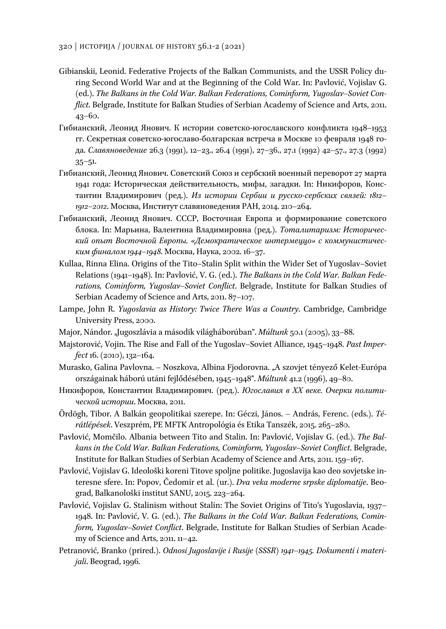- Gibianskii, Leonid. Federative Projects of the Balkan Communists, and the USSR Policy during Second World War and at the Beginning of the Cold War. In: Pavlović, Vojislav G. (ed.). *The Balkans in the Cold War. Balkan Federations, Cominform, Yugoslav–Soviet Conflict*. Belgrade, Institute for Balkan Studies of Serbian Academy of Science and Arts, 2011. 43–60.
- Гибианский, Леонид Янович. К истории советско-югославского конфликта 1948–1953 гг. Секретная советско-югославо-болгарская встреча в Москве 10 февраля 1948 года. *Славяноведение* 26.3 (1991), 12–23., 26.4 (1991), 27–36., 27.1 (1992) 42–57., 27.3 (1992) 35–51.
- Гибианский, Леонид Янович. Советский Союз и сербский военный переворот 27 марта 1941 года: Историческая действительность, мифы, загадки. In: Никифоров, Константин Владимирович (ред.). *Из истории Сербии и русско-сербских связей: 1812– 1912–2012*. Москва, Институт славяноведения РАН, 2014. 210–264.
- Гибианский, Леонид Янович. СССР, Восточная Европа и формирование советского блока. In: Марьина, Валентина Владимировна (ред.). *Тоталитаризм: Исторический опыт Восточной Европы. «Демократическое интермеццо» с коммунистическим финалом 1944–1948*. Москва, Наука, 2002. 16–37.
- Kullaa, Rinna Elina. Origins of the Tito–Stalin Split within the Wider Set of Yugoslav–Soviet Relations (1941–1948). In: Pavlović, V. G. (ed.). *The Balkans in the Cold War. Balkan Federations, Cominform, Yugoslav–Soviet Conflict*. Belgrade, Institute for Balkan Studies of Serbian Academy of Science and Arts, 2011. 87–107.
- Lampe, John R. *Yugoslavia as History: Twice There Was a Country*. Cambridge, Cambridge University Press, 2000.
- Major, Nándor. "Jugoszlávia a második világháborúban". *Múltunk* 50.1 (2005), 33–88.
- Majstorović, Vojin. The Rise and Fall of the Yugoslav–Soviet Alliance, 1945–1948. *Past Imperfect* 16. (2010), 132–164.
- Murasko, Galina Pavlovna. Noszkova, Albina Fjodorovna. "A szovjet tényező Kelet-Európa országainak háború utáni fejlődésében, 1945–1948". *Múltunk* 41.2 (1996), 49–80.
- Никифоров, Константин Владимирович. (ред.). *Югославия в ХХ веке. Очерки политической истории*. Москва, 2011.
- Ördögh, Tibor. A Balkán geopolitikai szerepe. In: Géczi, János. András, Ferenc. (eds.). *Térátlépések*. Veszprém, PE MFTK Antropológia és Etika Tanszék, 2015. 265–280.
- Pavlović, Momčilo. Albania between Tito and Stalin. In: Pavlović, Vojislav G. (ed.). *The Balkans in the Cold War. Balkan Federations, Cominform, Yugoslav–Soviet Conflict*. Belgrade, Institute for Balkan Studies of Serbian Academy of Science and Arts, 2011. 159–167.
- Pavlović, Vojislav G. Ideološki koreni Titove spoljne politike. Jugoslavija kao deo sovjetske interesne sfere. In: Popov, Čedomir et al. (ur.). *Dva veka moderne srpske diplomatije*. Beograd, Balkanološki institut SANU, 2015. 223–264.
- Pavlović, Vojislav G. Stalinism without Stalin: The Soviet Origins of Tito's Yugoslavia, 1937– 1948. In: Pavlović, V. G. (ed.). *The Balkans in the Cold War. Balkan Federations, Cominform, Yugoslav–Soviet Conflict*. Belgrade, Institute for Balkan Studies of Serbian Academy of Science and Arts, 2011. 11–42.
- Petranović, Branko (prired.). *Odnosi Jugoslavije i Rusije (SSSR) 1941–1945. Dokumenti i materijali*. Beograd, 1996.